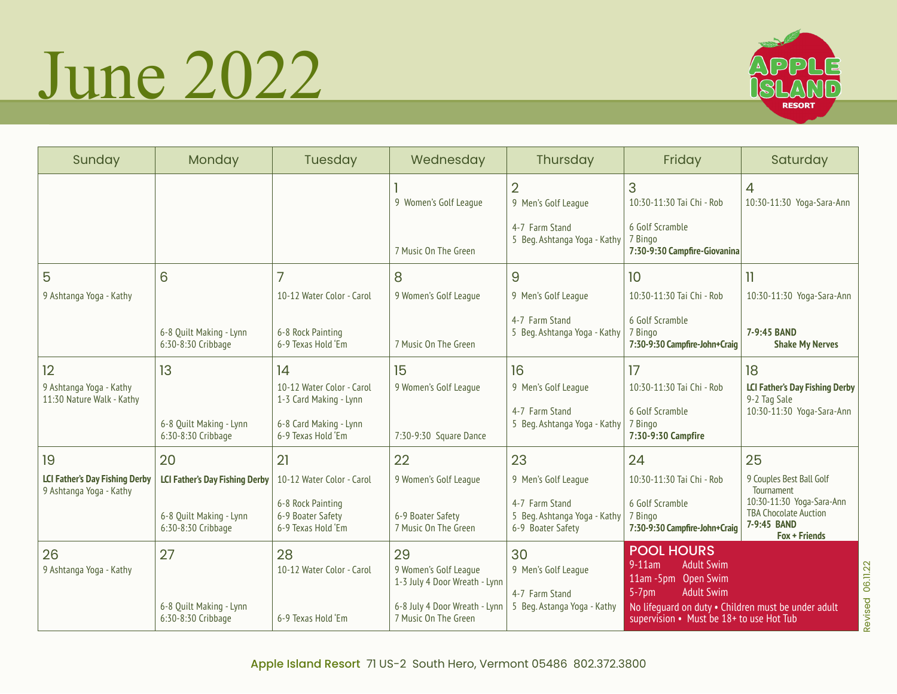## June 2022



| Sunday                                                           | Monday                                        | <b>Tuesday</b>                                               | Wednesday                                                    | Thursday                                                            | Friday                                                                                                      | Saturday                                                                                         |
|------------------------------------------------------------------|-----------------------------------------------|--------------------------------------------------------------|--------------------------------------------------------------|---------------------------------------------------------------------|-------------------------------------------------------------------------------------------------------------|--------------------------------------------------------------------------------------------------|
|                                                                  |                                               |                                                              | 9 Women's Golf League                                        | $\overline{2}$<br>9 Men's Golf League                               | 3<br>10:30-11:30 Tai Chi - Rob                                                                              | $\overline{4}$<br>10:30-11:30 Yoga-Sara-Ann                                                      |
|                                                                  |                                               |                                                              | 7 Music On The Green                                         | 4-7 Farm Stand<br>5 Beg. Ashtanga Yoga - Kathy                      | 6 Golf Scramble<br>7 Bingo<br>7:30-9:30 Campfire-Giovanina                                                  |                                                                                                  |
| 5                                                                | 6                                             | 7                                                            | 8                                                            | 9                                                                   | 10                                                                                                          | $\overline{11}$                                                                                  |
| 9 Ashtanga Yoga - Kathy                                          |                                               | 10-12 Water Color - Carol                                    | 9 Women's Golf League                                        | 9 Men's Golf League                                                 | 10:30-11:30 Tai Chi - Rob                                                                                   | 10:30-11:30 Yoga-Sara-Ann                                                                        |
|                                                                  | 6-8 Quilt Making - Lynn<br>6:30-8:30 Cribbage | 6-8 Rock Painting<br>6-9 Texas Hold 'Em                      | 7 Music On The Green                                         | 4-7 Farm Stand<br>5 Beg. Ashtanga Yoga - Kathy                      | 6 Golf Scramble<br>7 Bingo<br>7:30-9:30 Campfire-John+Craig                                                 | 7-9:45 BAND<br><b>Shake My Nerves</b>                                                            |
| 12<br>9 Ashtanga Yoga - Kathy<br>11:30 Nature Walk - Kathy       | 13                                            | 14<br>10-12 Water Color - Carol<br>1-3 Card Making - Lynn    | 15<br>9 Women's Golf League                                  | 16<br>9 Men's Golf League                                           | 17<br>10:30-11:30 Tai Chi - Rob                                                                             | 18<br><b>LCI Father's Day Fishing Derby</b><br>9-2 Tag Sale                                      |
|                                                                  | 6-8 Quilt Making - Lynn<br>6:30-8:30 Cribbage | 6-8 Card Making - Lynn<br>6-9 Texas Hold 'Em                 | 7:30-9:30 Square Dance                                       | 4-7 Farm Stand<br>5 Beg. Ashtanga Yoga - Kathy                      | 6 Golf Scramble<br>7 Bingo<br>7:30-9:30 Campfire                                                            | 10:30-11:30 Yoga-Sara-Ann                                                                        |
| 19                                                               | 20                                            | 21                                                           | 22                                                           | 23                                                                  | 24                                                                                                          | 25                                                                                               |
| <b>LCI Father's Day Fishing Derby</b><br>9 Ashtanga Yoga - Kathy | <b>LCI Father's Day Fishing Derby</b>         | 10-12 Water Color - Carol                                    | 9 Women's Golf League                                        | 9 Men's Golf League                                                 | 10:30-11:30 Tai Chi - Rob                                                                                   | 9 Couples Best Ball Golf<br>Tournament                                                           |
|                                                                  | 6-8 Quilt Making - Lynn<br>6:30-8:30 Cribbage | 6-8 Rock Painting<br>6-9 Boater Safety<br>6-9 Texas Hold 'Em | 6-9 Boater Safety<br>7 Music On The Green                    | 4-7 Farm Stand<br>5 Beg. Ashtanga Yoga - Kathy<br>6-9 Boater Safety | 6 Golf Scramble<br>7 Bingo<br>7:30-9:30 Campfire-John+Craig                                                 | 10:30-11:30 Yoga-Sara-Ann<br><b>TBA Chocolate Auction</b><br>7-9:45 BAND<br><b>Fox + Friends</b> |
| 26<br>9 Ashtanga Yoga - Kathy                                    | 27                                            | 28<br>10-12 Water Color - Carol                              | 29<br>9 Women's Golf League<br>1-3 July 4 Door Wreath - Lynn | 30<br>9 Men's Golf League                                           | <b>POOL HOURS</b><br>$9-11am$<br><b>Adult Swim</b><br>11am - 5pm Open Swim<br>$5-7$ pm<br><b>Adult Swim</b> |                                                                                                  |
|                                                                  | 6-8 Quilt Making - Lynn<br>6:30-8:30 Cribbage | 6-9 Texas Hold 'Em                                           | 6-8 July 4 Door Wreath - Lynn<br>7 Music On The Green        | 4-7 Farm Stand<br>5 Beg. Astanga Yoga - Kathy                       | No lifeguard on duty . Children must be under adult<br>supervision • Must be 18+ to use Hot Tub             |                                                                                                  |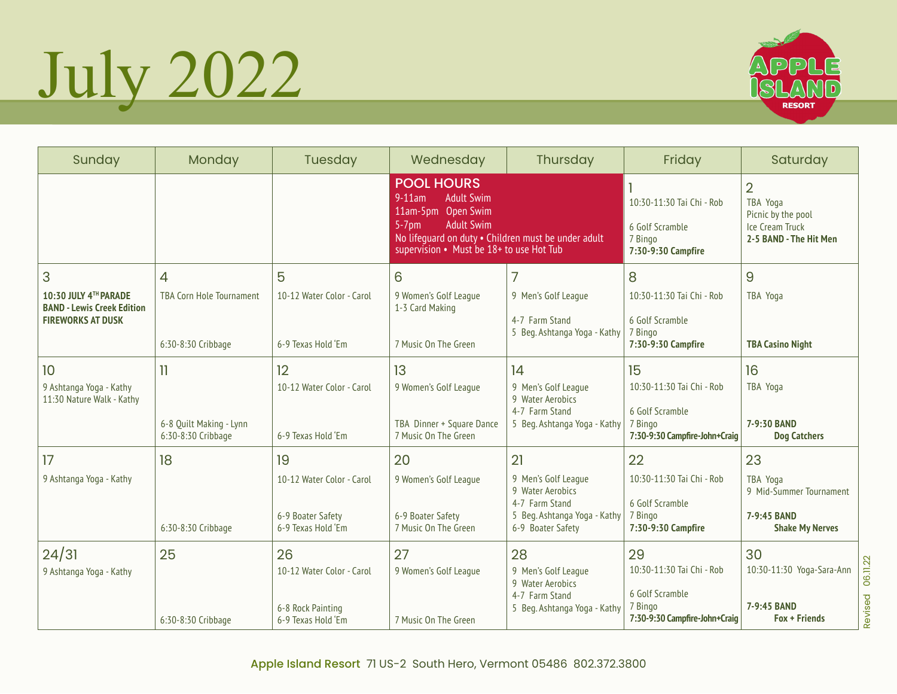## July 2022



| Sunday                                                                                      | Monday                                                                   | Tuesday                                                                    | Wednesday                                                                                                                                                                                                     | Thursday                                                                                                             | Friday                                                                                         | Saturday                                                                                      |
|---------------------------------------------------------------------------------------------|--------------------------------------------------------------------------|----------------------------------------------------------------------------|---------------------------------------------------------------------------------------------------------------------------------------------------------------------------------------------------------------|----------------------------------------------------------------------------------------------------------------------|------------------------------------------------------------------------------------------------|-----------------------------------------------------------------------------------------------|
|                                                                                             |                                                                          |                                                                            | <b>POOL HOURS</b><br>$9-11$ am<br><b>Adult Swim</b><br>11am-5pm Open Swim<br><b>Adult Swim</b><br>$5-7$ pm<br>No lifeguard on duty . Children must be under adult<br>supervision • Must be 18+ to use Hot Tub |                                                                                                                      | 10:30-11:30 Tai Chi - Rob<br>6 Golf Scramble<br>7 Bingo<br>7:30-9:30 Campfire                  | $\overline{2}$<br>TBA Yoga<br>Picnic by the pool<br>Ice Cream Truck<br>2-5 BAND - The Hit Men |
| 3<br>10:30 JULY 4TH PARADE<br><b>BAND - Lewis Creek Edition</b><br><b>FIREWORKS AT DUSK</b> | $\overline{4}$<br><b>TBA Corn Hole Tournament</b><br>6:30-8:30 Cribbage  | 5<br>10-12 Water Color - Carol<br>6-9 Texas Hold 'Em                       | 6<br>9 Women's Golf League<br>1-3 Card Making<br>7 Music On The Green                                                                                                                                         | 7<br>9 Men's Golf League<br>4-7 Farm Stand<br>5 Beg. Ashtanga Yoga - Kathy                                           | 8<br>10:30-11:30 Tai Chi - Rob<br>6 Golf Scramble<br>7 Bingo<br>7:30-9:30 Campfire             | 9<br>TBA Yoga<br><b>TBA Casino Night</b>                                                      |
| 10<br>9 Ashtanga Yoga - Kathy<br>11:30 Nature Walk - Kathy                                  | $\overline{\mathbf{1}}$<br>6-8 Quilt Making - Lynn<br>6:30-8:30 Cribbage | 12<br>10-12 Water Color - Carol<br>6-9 Texas Hold 'Em                      | 13<br>9 Women's Golf League<br>TBA Dinner + Square Dance<br>7 Music On The Green                                                                                                                              | 14<br>9 Men's Golf League<br>9 Water Aerobics<br>4-7 Farm Stand<br>5 Beg. Ashtanga Yoga - Kathy                      | 15<br>10:30-11:30 Tai Chi - Rob<br>6 Golf Scramble<br>7 Bingo<br>7:30-9:30 Campfire-John+Craig | 16<br>TBA Yoga<br>7-9:30 BAND<br><b>Dog Catchers</b>                                          |
| 17<br>9 Ashtanga Yoga - Kathy                                                               | 18<br>6:30-8:30 Cribbage                                                 | 19<br>10-12 Water Color - Carol<br>6-9 Boater Safety<br>6-9 Texas Hold 'Em | 20<br>9 Women's Golf League<br>6-9 Boater Safety<br>7 Music On The Green                                                                                                                                      | 21<br>9 Men's Golf League<br>9 Water Aerobics<br>4-7 Farm Stand<br>5 Beg. Ashtanga Yoga - Kathy<br>6-9 Boater Safety | 22<br>10:30-11:30 Tai Chi - Rob<br>6 Golf Scramble<br>7 Bingo<br>7:30-9:30 Campfire            | 23<br>TBA Yoga<br>9 Mid-Summer Tournament<br>7-9:45 BAND<br><b>Shake My Nerves</b>            |
| 24/31<br>9 Ashtanga Yoga - Kathy                                                            | 25<br>6:30-8:30 Cribbage                                                 | 26<br>10-12 Water Color - Carol<br>6-8 Rock Painting<br>6-9 Texas Hold 'Em | 27<br>9 Women's Golf League<br>7 Music On The Green                                                                                                                                                           | 28<br>9 Men's Golf League<br>9 Water Aerobics<br>4-7 Farm Stand<br>5 Beg. Ashtanga Yoga - Kathy                      | 29<br>10:30-11:30 Tai Chi - Rob<br>6 Golf Scramble<br>7 Bingo<br>7:30-9:30 Campfire-John+Craig | 30<br>10:30-11:30 Yoga-Sara-Ann<br>7-9:45 BAND<br><b>Fox + Friends</b>                        |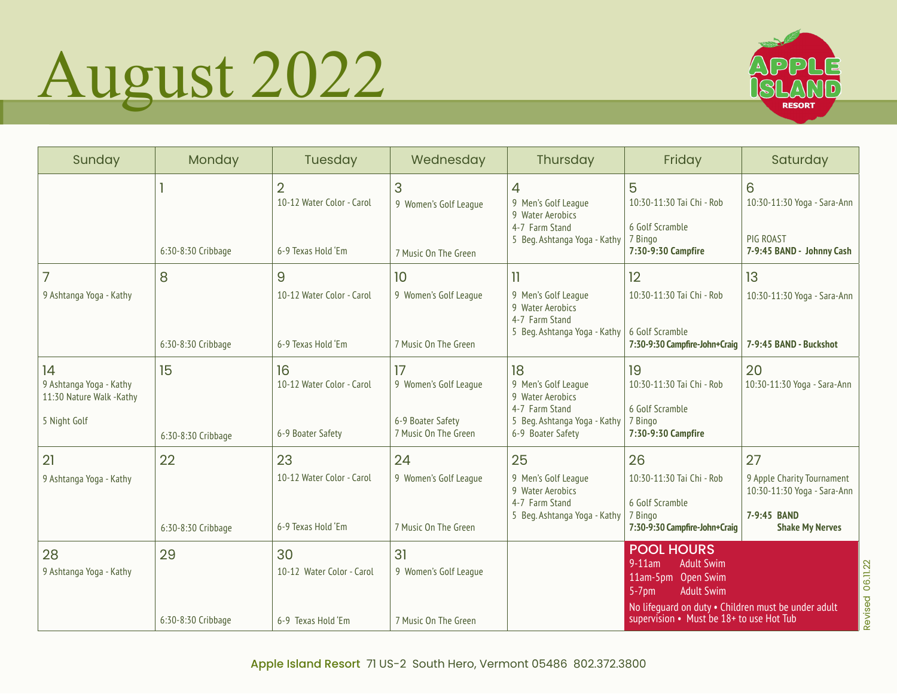## August 2022



| Sunday                                                                    | Monday                   | Tuesday                                                           | Wednesday                                                                | Thursday                                                                                                             | Friday                                                                                                                                                                                                          | Saturday                                                                                                 |
|---------------------------------------------------------------------------|--------------------------|-------------------------------------------------------------------|--------------------------------------------------------------------------|----------------------------------------------------------------------------------------------------------------------|-----------------------------------------------------------------------------------------------------------------------------------------------------------------------------------------------------------------|----------------------------------------------------------------------------------------------------------|
|                                                                           | 6:30-8:30 Cribbage       | $\overline{2}$<br>10-12 Water Color - Carol<br>6-9 Texas Hold 'Em | 3<br>9 Women's Golf League<br>7 Music On The Green                       | 4<br>9 Men's Golf League<br>9 Water Aerobics<br>4-7 Farm Stand<br>5 Beg. Ashtanga Yoga - Kathy                       | 5<br>10:30-11:30 Tai Chi - Rob<br>6 Golf Scramble<br>7 Bingo<br>7:30-9:30 Campfire                                                                                                                              | 6<br>10:30-11:30 Yoga - Sara-Ann<br>PIG ROAST<br>7-9:45 BAND - Johnny Cash                               |
| 7<br>9 Ashtanga Yoga - Kathy                                              | 8<br>6:30-8:30 Cribbage  | 9<br>10-12 Water Color - Carol<br>6-9 Texas Hold 'Em              | 10<br>9 Women's Golf League<br>7 Music On The Green                      | 11<br>9 Men's Golf League<br>9 Water Aerobics<br>4-7 Farm Stand<br>5 Beg. Ashtanga Yoga - Kathy                      | 12<br>10:30-11:30 Tai Chi - Rob<br>6 Golf Scramble<br>7:30-9:30 Campfire-John+Craig                                                                                                                             | 13<br>10:30-11:30 Yoga - Sara-Ann<br>7-9:45 BAND - Buckshot                                              |
| 14<br>9 Ashtanga Yoga - Kathy<br>11:30 Nature Walk -Kathy<br>5 Night Golf | 15<br>6:30-8:30 Cribbage | 16<br>10-12 Water Color - Carol<br>6-9 Boater Safety              | 17<br>9 Women's Golf League<br>6-9 Boater Safety<br>7 Music On The Green | 18<br>9 Men's Golf League<br>9 Water Aerobics<br>4-7 Farm Stand<br>5 Beg. Ashtanga Yoga - Kathy<br>6-9 Boater Safety | 19<br>10:30-11:30 Tai Chi - Rob<br>6 Golf Scramble<br>7 Bingo<br>7:30-9:30 Campfire                                                                                                                             | 20<br>10:30-11:30 Yoga - Sara-Ann                                                                        |
| 21<br>9 Ashtanga Yoga - Kathy                                             | 22<br>6:30-8:30 Cribbage | 23<br>10-12 Water Color - Carol<br>6-9 Texas Hold 'Em             | 24<br>9 Women's Golf League<br>7 Music On The Green                      | 25<br>9 Men's Golf League<br>9 Water Aerobics<br>4-7 Farm Stand<br>5 Beg. Ashtanga Yoga - Kathy                      | 26<br>10:30-11:30 Tai Chi - Rob<br>6 Golf Scramble<br>7 Bingo<br>7:30-9:30 Campfire-John+Craig                                                                                                                  | 27<br>9 Apple Charity Tournament<br>10:30-11:30 Yoga - Sara-Ann<br>7-9:45 BAND<br><b>Shake My Nerves</b> |
| 28<br>9 Ashtanga Yoga - Kathy                                             | 29<br>6:30-8:30 Cribbage | 30<br>10-12 Water Color - Carol<br>6-9 Texas Hold Em              | 31<br>9 Women's Golf League<br>7 Music On The Green                      |                                                                                                                      | <b>POOL HOURS</b><br><b>Adult Swim</b><br>$9-11am$<br>11am-5pm<br>Open Swim<br><b>Adult Swim</b><br>$5-7$ pm<br>No lifeguard on duty . Children must be under adult<br>supervision • Must be 18+ to use Hot Tub |                                                                                                          |